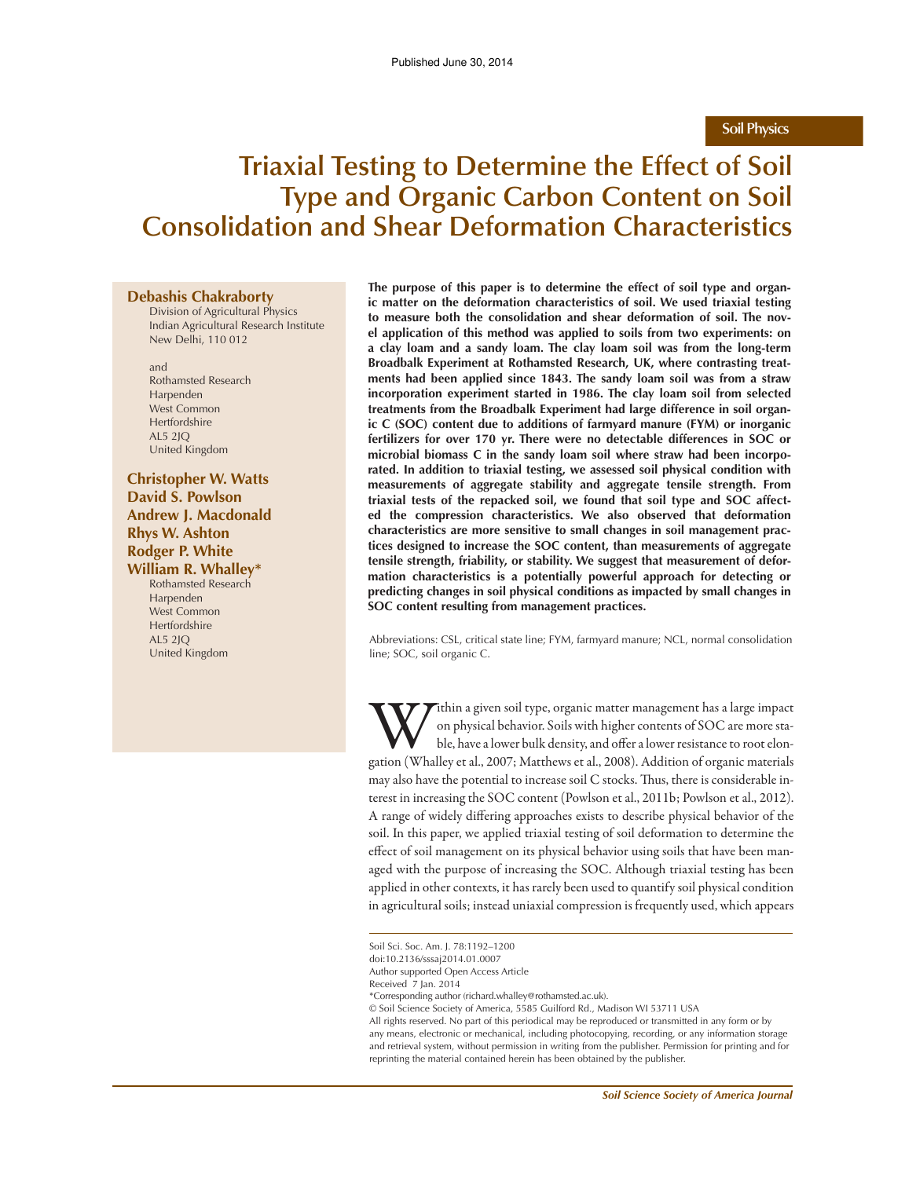### **Soil Physics**

# **Triaxial Testing to Determine the Effect of Soil Type and Organic Carbon Content on Soil Consolidation and Shear Deformation Characteristics**

#### **Debashis Chakraborty**

Division of Agricultural Physics Indian Agricultural Research Institute New Delhi, 110 012

and Rothamsted Research Harpenden West Common Hertfordshire AL5 2JQ United Kingdom

# **Christopher W. Watts David S. Powlson Andrew J. Macdonald Rhys W. Ashton Rodger P. White**

**William R. Whalley\***

Rothamsted Research Harpenden West Common Hertfordshire AL5 2JQ United Kingdom

**The purpose of this paper is to determine the effect of soil type and organic matter on the deformation characteristics of soil. We used triaxial testing to measure both the consolidation and shear deformation of soil. The novel application of this method was applied to soils from two experiments: on a clay loam and a sandy loam. The clay loam soil was from the long-term Broadbalk Experiment at Rothamsted Research, UK, where contrasting treatments had been applied since 1843. The sandy loam soil was from a straw incorporation experiment started in 1986. The clay loam soil from selected treatments from the Broadbalk Experiment had large difference in soil organic C (SOC) content due to additions of farmyard manure (FYM) or inorganic fertilizers for over 170 yr. There were no detectable differences in SOC or microbial biomass C in the sandy loam soil where straw had been incorporated. In addition to triaxial testing, we assessed soil physical condition with measurements of aggregate stability and aggregate tensile strength. From triaxial tests of the repacked soil, we found that soil type and SOC affected the compression characteristics. We also observed that deformation characteristics are more sensitive to small changes in soil management practices designed to increase the SOC content, than measurements of aggregate tensile strength, friability, or stability. We suggest that measurement of deformation characteristics is a potentially powerful approach for detecting or predicting changes in soil physical conditions as impacted by small changes in SOC content resulting from management practices.**

Abbreviations: CSL, critical state line; FYM, farmyard manure; NCL, normal consolidation line; SOC, soil organic C.

W ithin a given soil type, organic matter management has a large impact<br>on physical behavior. Soils with higher contents of SOC are more sta-<br>ble, have a lower bulk density, and offer a lower resistance to root elon-<br>gatio ithin a given soil type, organic matter management has a large impact on physical behavior. Soils with higher contents of SOC are more stable, have a lower bulk density, and offer a lower resistance to root elonmay also have the potential to increase soil C stocks. Thus, there is considerable interest in increasing the SOC content (Powlson et al., 2011b; Powlson et al., 2012). A range of widely differing approaches exists to describe physical behavior of the soil. In this paper, we applied triaxial testing of soil deformation to determine the effect of soil management on its physical behavior using soils that have been managed with the purpose of increasing the SOC. Although triaxial testing has been applied in other contexts, it has rarely been used to quantify soil physical condition in agricultural soils; instead uniaxial compression is frequently used, which appears

Soil Sci. Soc. Am. J. 78:1192–1200

doi:10.2136/sssaj2014.01.0007

Author supported Open Access Article

Received 7 Jan. 2014

<sup>\*</sup>Corresponding author (richard.whalley@rothamsted.ac.uk).

<sup>©</sup> Soil Science Society of America, 5585 Guilford Rd., Madison WI 53711 USA

All rights reserved. No part of this periodical may be reproduced or transmitted in any form or by any means, electronic or mechanical, including photocopying, recording, or any information storage and retrieval system, without permission in writing from the publisher. Permission for printing and for reprinting the material contained herein has been obtained by the publisher.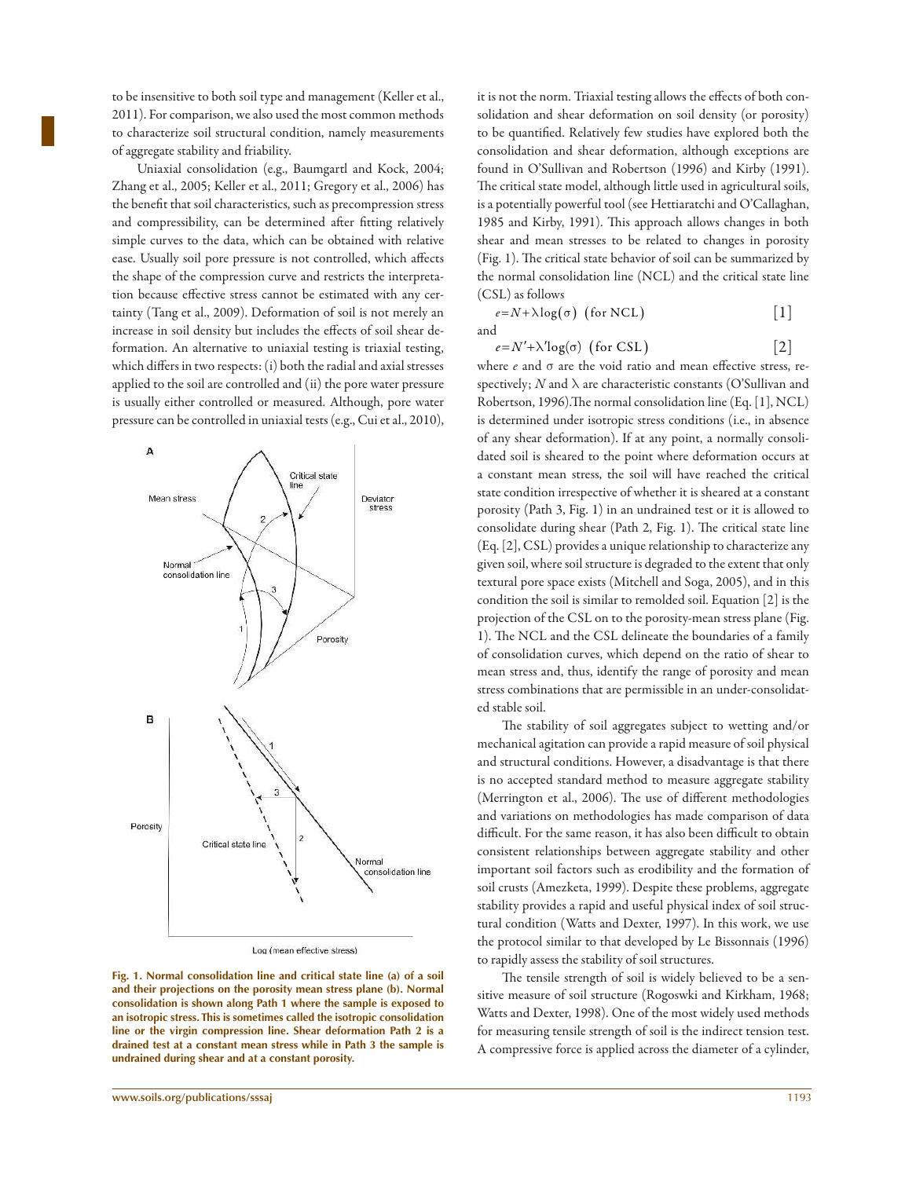to be insensitive to both soil type and management (Keller et al., 2011). For comparison, we also used the most common methods to characterize soil structural condition, namely measurements of aggregate stability and friability.

Uniaxial consolidation (e.g., Baumgartl and Kock, 2004; Zhang et al., 2005; Keller et al., 2011; Gregory et al., 2006) has the benefit that soil characteristics, such as precompression stress and compressibility, can be determined after fitting relatively simple curves to the data, which can be obtained with relative ease. Usually soil pore pressure is not controlled, which affects the shape of the compression curve and restricts the interpretation because effective stress cannot be estimated with any certainty (Tang et al., 2009). Deformation of soil is not merely an increase in soil density but includes the effects of soil shear deformation. An alternative to uniaxial testing is triaxial testing, which differs in two respects: (i) both the radial and axial stresses applied to the soil are controlled and (ii) the pore water pressure is usually either controlled or measured. Although, pore water pressure can be controlled in uniaxial tests (e.g., Cui et al., 2010),



Log (mean effective stress)

**Fig. 1. Normal consolidation line and critical state line (a) of a soil and their projections on the porosity mean stress plane (b). Normal consolidation is shown along Path 1 where the sample is exposed to an isotropic stress. This is sometimes called the isotropic consolidation line or the virgin compression line. Shear deformation Path 2 is a drained test at a constant mean stress while in Path 3 the sample is undrained during shear and at a constant porosity.**

it is not the norm. Triaxial testing allows the effects of both consolidation and shear deformation on soil density (or porosity) to be quantified. Relatively few studies have explored both the consolidation and shear deformation, although exceptions are found in O'Sullivan and Robertson (1996) and Kirby (1991). The critical state model, although little used in agricultural soils, is a potentially powerful tool (see Hettiaratchi and O'Callaghan, 1985 and Kirby, 1991). This approach allows changes in both shear and mean stresses to be related to changes in porosity (Fig. 1). The critical state behavior of soil can be summarized by the normal consolidation line (NCL) and the critical state line (CSL) as follows

$$
e = N + \lambda \log(\sigma) \quad \text{(for NCL)} \tag{1}
$$

 $e = N' + \lambda' \log(\sigma)$  (for CSL) [2]

where  $e$  and  $\sigma$  are the void ratio and mean effective stress, respectively; N and  $\lambda$  are characteristic constants (O'Sullivan and Robertson, 1996).The normal consolidation line (Eq. [1], NCL) is determined under isotropic stress conditions (i.e., in absence of any shear deformation). If at any point, a normally consolidated soil is sheared to the point where deformation occurs at a constant mean stress, the soil will have reached the critical state condition irrespective of whether it is sheared at a constant porosity (Path 3, Fig. 1) in an undrained test or it is allowed to consolidate during shear (Path 2, Fig. 1). The critical state line (Eq. [2], CSL) provides a unique relationship to characterize any given soil, where soil structure is degraded to the extent that only textural pore space exists (Mitchell and Soga, 2005), and in this condition the soil is similar to remolded soil. Equation [2] is the projection of the CSL on to the porosity-mean stress plane (Fig. 1). The NCL and the CSL delineate the boundaries of a family of consolidation curves, which depend on the ratio of shear to mean stress and, thus, identify the range of porosity and mean stress combinations that are permissible in an under-consolidated stable soil.

The stability of soil aggregates subject to wetting and/or mechanical agitation can provide a rapid measure of soil physical and structural conditions. However, a disadvantage is that there is no accepted standard method to measure aggregate stability (Merrington et al., 2006). The use of different methodologies and variations on methodologies has made comparison of data difficult. For the same reason, it has also been difficult to obtain consistent relationships between aggregate stability and other important soil factors such as erodibility and the formation of soil crusts (Amezketa, 1999). Despite these problems, aggregate stability provides a rapid and useful physical index of soil structural condition (Watts and Dexter, 1997). In this work, we use the protocol similar to that developed by Le Bissonnais (1996) to rapidly assess the stability of soil structures.

The tensile strength of soil is widely believed to be a sensitive measure of soil structure (Rogoswki and Kirkham, 1968; Watts and Dexter, 1998). One of the most widely used methods for measuring tensile strength of soil is the indirect tension test. A compressive force is applied across the diameter of a cylinder,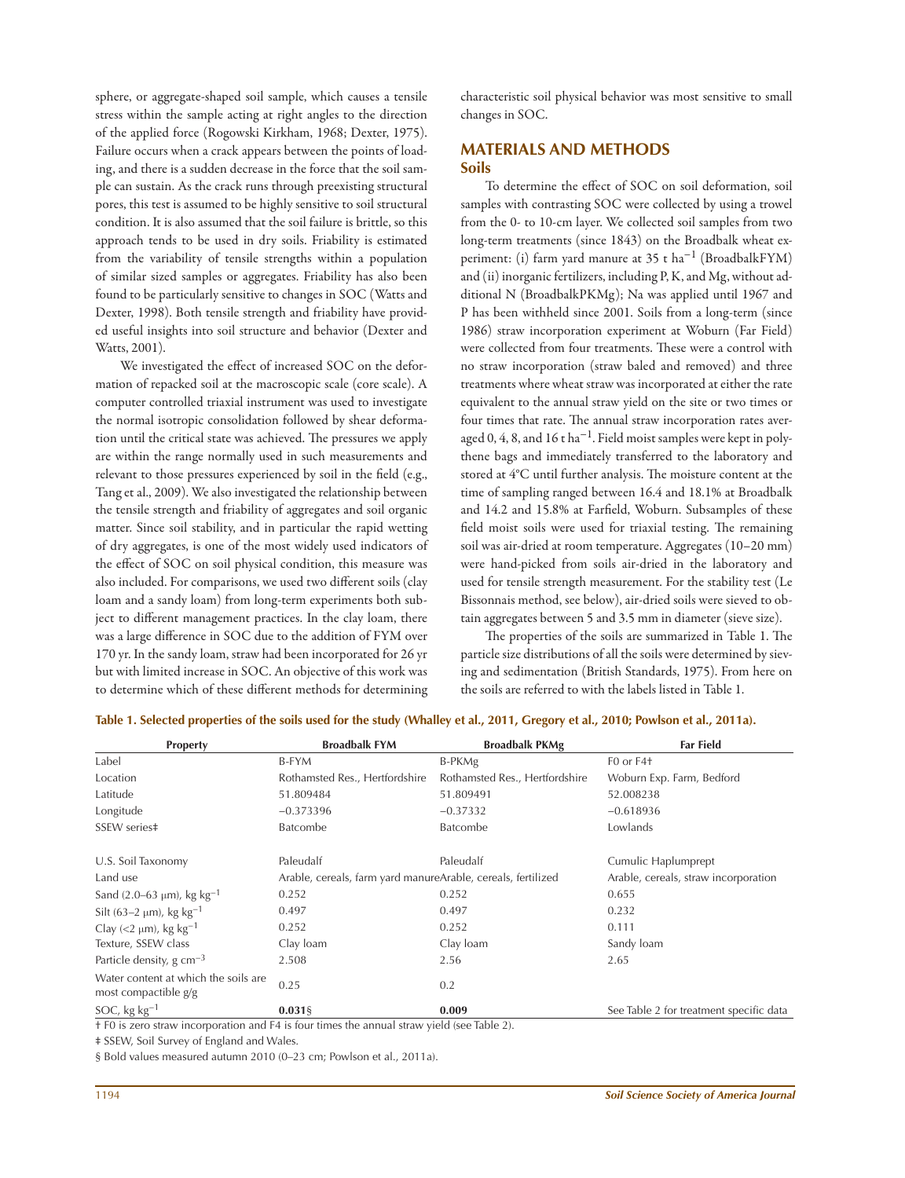sphere, or aggregate-shaped soil sample, which causes a tensile stress within the sample acting at right angles to the direction of the applied force (Rogowski Kirkham, 1968; Dexter, 1975). Failure occurs when a crack appears between the points of loading, and there is a sudden decrease in the force that the soil sample can sustain. As the crack runs through preexisting structural pores, this test is assumed to be highly sensitive to soil structural condition. It is also assumed that the soil failure is brittle, so this approach tends to be used in dry soils. Friability is estimated from the variability of tensile strengths within a population of similar sized samples or aggregates. Friability has also been found to be particularly sensitive to changes in SOC (Watts and Dexter, 1998). Both tensile strength and friability have provided useful insights into soil structure and behavior (Dexter and Watts, 2001).

We investigated the effect of increased SOC on the deformation of repacked soil at the macroscopic scale (core scale). A computer controlled triaxial instrument was used to investigate the normal isotropic consolidation followed by shear deformation until the critical state was achieved. The pressures we apply are within the range normally used in such measurements and relevant to those pressures experienced by soil in the field (e.g., Tang et al., 2009). We also investigated the relationship between the tensile strength and friability of aggregates and soil organic matter. Since soil stability, and in particular the rapid wetting of dry aggregates, is one of the most widely used indicators of the effect of SOC on soil physical condition, this measure was also included. For comparisons, we used two different soils (clay loam and a sandy loam) from long-term experiments both subject to different management practices. In the clay loam, there was a large difference in SOC due to the addition of FYM over 170 yr. In the sandy loam, straw had been incorporated for 26 yr but with limited increase in SOC. An objective of this work was to determine which of these different methods for determining

characteristic soil physical behavior was most sensitive to small changes in SOC.

# **MATERIALS AND METHODS Soils**

To determine the effect of SOC on soil deformation, soil samples with contrasting SOC were collected by using a trowel from the 0- to 10-cm layer. We collected soil samples from two long-term treatments (since 1843) on the Broadbalk wheat experiment: (i) farm yard manure at 35 t ha−1 (BroadbalkFYM) and (ii) inorganic fertilizers, including P, K, and Mg, without additional N (BroadbalkPKMg); Na was applied until 1967 and P has been withheld since 2001. Soils from a long-term (since 1986) straw incorporation experiment at Woburn (Far Field) were collected from four treatments. These were a control with no straw incorporation (straw baled and removed) and three treatments where wheat straw was incorporated at either the rate equivalent to the annual straw yield on the site or two times or four times that rate. The annual straw incorporation rates averaged 0, 4, 8, and 16 t ha<sup>-1</sup>. Field moist samples were kept in polythene bags and immediately transferred to the laboratory and stored at 4°C until further analysis. The moisture content at the time of sampling ranged between 16.4 and 18.1% at Broadbalk and 14.2 and 15.8% at Farfield, Woburn. Subsamples of these field moist soils were used for triaxial testing. The remaining soil was air-dried at room temperature. Aggregates (10–20 mm) were hand-picked from soils air-dried in the laboratory and used for tensile strength measurement. For the stability test (Le Bissonnais method, see below), air-dried soils were sieved to obtain aggregates between 5 and 3.5 mm in diameter (sieve size).

The properties of the soils are summarized in Table 1. The particle size distributions of all the soils were determined by sieving and sedimentation (British Standards, 1975). From here on the soils are referred to with the labels listed in Table 1.

| <b>Property</b>                                                                                                                                                                     | <b>Broadbalk FYM</b>                                                                                                                                                                                                                                                                                                                          | <b>Broadbalk PKMg</b>          | <b>Far Field</b>                        |
|-------------------------------------------------------------------------------------------------------------------------------------------------------------------------------------|-----------------------------------------------------------------------------------------------------------------------------------------------------------------------------------------------------------------------------------------------------------------------------------------------------------------------------------------------|--------------------------------|-----------------------------------------|
| Label                                                                                                                                                                               | B-FYM                                                                                                                                                                                                                                                                                                                                         | B-PKMg                         | F <sub>0</sub> or F <sub>4</sub> +      |
| Location                                                                                                                                                                            | Rothamsted Res., Hertfordshire                                                                                                                                                                                                                                                                                                                | Rothamsted Res., Hertfordshire | Woburn Exp. Farm, Bedford               |
| Latitude                                                                                                                                                                            | 51.809484                                                                                                                                                                                                                                                                                                                                     | 51.809491                      | 52.008238                               |
| Longitude                                                                                                                                                                           | $-0.373396$                                                                                                                                                                                                                                                                                                                                   | $-0.37332$                     | $-0.618936$                             |
| SSEW series#                                                                                                                                                                        | <b>Batcombe</b>                                                                                                                                                                                                                                                                                                                               | <b>Batcombe</b>                | Lowlands                                |
| U.S. Soil Taxonomy                                                                                                                                                                  | Paleudalf                                                                                                                                                                                                                                                                                                                                     | Paleudalf                      | Cumulic Haplumprept                     |
| Land use                                                                                                                                                                            | Arable, cereals, farm yard manureArable, cereals, fertilized                                                                                                                                                                                                                                                                                  |                                | Arable, cereals, straw incorporation    |
| Sand $(2.0-63 \mu m)$ , kg kg <sup>-1</sup>                                                                                                                                         | 0.252                                                                                                                                                                                                                                                                                                                                         | 0.252                          | 0.655                                   |
| Silt (63-2 $\mu$ m), kg kg <sup>-1</sup>                                                                                                                                            | 0.497                                                                                                                                                                                                                                                                                                                                         | 0.497                          | 0.232                                   |
| Clay (<2 $\mu$ m), kg kg <sup>-1</sup>                                                                                                                                              | 0.252                                                                                                                                                                                                                                                                                                                                         | 0.252                          | 0.111                                   |
| Texture, SSEW class                                                                                                                                                                 | Clay loam                                                                                                                                                                                                                                                                                                                                     | Clay loam                      | Sandy loam                              |
| Particle density, $g \text{ cm}^{-3}$                                                                                                                                               | 2.508                                                                                                                                                                                                                                                                                                                                         | 2.56                           | 2.65                                    |
| Water content at which the soils are<br>most compactible $g/g$                                                                                                                      | 0.25                                                                                                                                                                                                                                                                                                                                          | 0.2                            |                                         |
| SOC, kg $kg^{-1}$                                                                                                                                                                   | $0.031$ §                                                                                                                                                                                                                                                                                                                                     | 0.009                          | See Table 2 for treatment specific data |
| the contract of the contract of the contract of the contract of the contract of the contract of the contract of<br>$\cdot$ .<br>$\mathbf{1}$ $\mathbf{F}$ $\mathbf{A}$ $\mathbf{A}$ | $\mathbf{1} \in \mathcal{A}$ , $\mathcal{A} = \mathcal{A}$ , $\mathcal{A} = \mathcal{A}$ , and a set of $\mathcal{A} = \mathcal{A}$ , and a set of $\mathcal{A} = \mathcal{A}$ , and a set of $\mathcal{A} = \mathcal{A}$ , and a set of $\mathcal{A} = \mathcal{A}$ , and a set of $\mathcal{A} = \mathcal{A}$ , and a set o<br>$\mathbf{1}$ | $T1 + T2$                      |                                         |

**Table 1. Selected properties of the soils used for the study (Whalley et al., 2011, Gregory et al., 2010; Powlson et al., 2011a).**

† F0 is zero straw incorporation and F4 is four times the annual straw yield (see Table 2).

‡ SSEW, Soil Survey of England and Wales.

§ Bold values measured autumn 2010 (0–23 cm; Powlson et al., 2011a).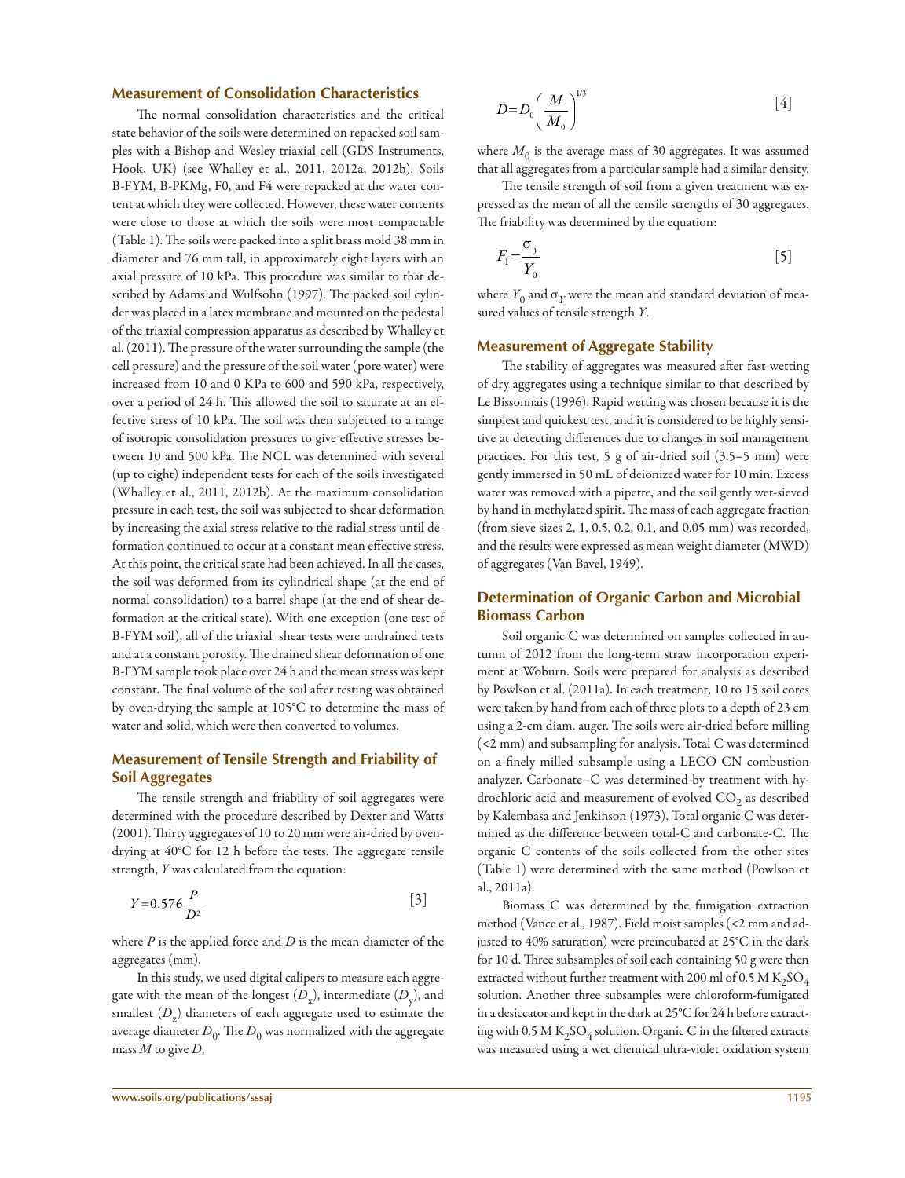#### **Measurement of Consolidation Characteristics**

The normal consolidation characteristics and the critical state behavior of the soils were determined on repacked soil samples with a Bishop and Wesley triaxial cell (GDS Instruments, Hook, UK) (see Whalley et al., 2011, 2012a, 2012b). Soils B-FYM, B-PKMg, F0, and F4 were repacked at the water content at which they were collected. However, these water contents were close to those at which the soils were most compactable (Table 1). The soils were packed into a split brass mold 38 mm in diameter and 76 mm tall, in approximately eight layers with an axial pressure of 10 kPa. This procedure was similar to that described by Adams and Wulfsohn (1997). The packed soil cylinder was placed in a latex membrane and mounted on the pedestal of the triaxial compression apparatus as described by Whalley et al. (2011). The pressure of the water surrounding the sample (the cell pressure) and the pressure of the soil water (pore water) were increased from 10 and 0 KPa to 600 and 590 kPa, respectively, over a period of 24 h. This allowed the soil to saturate at an effective stress of 10 kPa. The soil was then subjected to a range of isotropic consolidation pressures to give effective stresses between 10 and 500 kPa. The NCL was determined with several (up to eight) independent tests for each of the soils investigated (Whalley et al., 2011, 2012b). At the maximum consolidation pressure in each test, the soil was subjected to shear deformation by increasing the axial stress relative to the radial stress until deformation continued to occur at a constant mean effective stress. At this point, the critical state had been achieved. In all the cases, the soil was deformed from its cylindrical shape (at the end of normal consolidation) to a barrel shape (at the end of shear deformation at the critical state). With one exception (one test of B-FYM soil), all of the triaxial shear tests were undrained tests and at a constant porosity. The drained shear deformation of one B-FYM sample took place over 24 h and the mean stress was kept constant. The final volume of the soil after testing was obtained by oven-drying the sample at 105°C to determine the mass of water and solid, which were then converted to volumes.

# **Measurement of Tensile Strength and Friability of Soil Aggregates**

The tensile strength and friability of soil aggregates were determined with the procedure described by Dexter and Watts (2001). Thirty aggregates of 10 to 20 mm were air-dried by ovendrying at 40°C for 12 h before the tests. The aggregate tensile strength, Y was calculated from the equation:

$$
Y=0.576\frac{P}{D^2} \tag{3}
$$

where  $P$  is the applied force and  $D$  is the mean diameter of the aggregates (mm).

In this study, we used digital calipers to measure each aggregate with the mean of the longest  $(D_{\mathrm{x}})$ , intermediate  $(D_{\mathrm{y}})$ , and smallest  $(D_z)$  diameters of each aggregate used to estimate the average diameter  $D_0^{\vphantom{\dagger}}$  . The  $D_0^{\vphantom{\dagger}}$  was normalized with the aggregate mass  $M$  to give  $D$ ,

$$
D = D_0 \left(\frac{M}{M_0}\right)^{1/3} \tag{4}
$$

where  $M_0$  is the average mass of 30 aggregates. It was assumed that all aggregates from a particular sample had a similar density.

The tensile strength of soil from a given treatment was expressed as the mean of all the tensile strengths of 30 aggregates. The friability was determined by the equation:

$$
F_1 = \frac{\sigma_y}{Y_0} \tag{5}
$$

where  $Y_0$  and  $\sigma_Y$  were the mean and standard deviation of measured values of tensile strength Y.

#### **Measurement of Aggregate Stability**

The stability of aggregates was measured after fast wetting of dry aggregates using a technique similar to that described by Le Bissonnais (1996). Rapid wetting was chosen because it is the simplest and quickest test, and it is considered to be highly sensitive at detecting differences due to changes in soil management practices. For this test, 5 g of air-dried soil (3.5–5 mm) were gently immersed in 50 mL of deionized water for 10 min. Excess water was removed with a pipette, and the soil gently wet-sieved by hand in methylated spirit. The mass of each aggregate fraction (from sieve sizes 2, 1, 0.5, 0.2, 0.1, and 0.05 mm) was recorded, and the results were expressed as mean weight diameter (MWD) of aggregates (Van Bavel, 1949).

## **Determination of Organic Carbon and Microbial Biomass Carbon**

Soil organic C was determined on samples collected in autumn of 2012 from the long-term straw incorporation experiment at Woburn. Soils were prepared for analysis as described by Powlson et al. (2011a). In each treatment, 10 to 15 soil cores were taken by hand from each of three plots to a depth of 23 cm using a 2-cm diam. auger. The soils were air-dried before milling (<2 mm) and subsampling for analysis. Total C was determined on a finely milled subsample using a LECO CN combustion analyzer. Carbonate–C was determined by treatment with hydrochloric acid and measurement of evolved  $\mathrm{CO}_2$  as described by Kalembasa and Jenkinson (1973). Total organic C was determined as the difference between total-C and carbonate-C. The organic C contents of the soils collected from the other sites (Table 1) were determined with the same method (Powlson et al., 2011a).

Biomass C was determined by the fumigation extraction method (Vance et al., 1987). Field moist samples (<2 mm and adjusted to 40% saturation) were preincubated at 25°C in the dark for 10 d. Three subsamples of soil each containing 50 g were then extracted without further treatment with 200 ml of 0.5 M  $\rm K_2SO_4$ solution. Another three subsamples were chloroform-fumigated in a desiccator and kept in the dark at 25°C for 24 h before extracting with 0.5 M  $\mathrm{K}_2\mathrm{SO}_4$  solution. Organic C in the filtered extracts was measured using a wet chemical ultra-violet oxidation system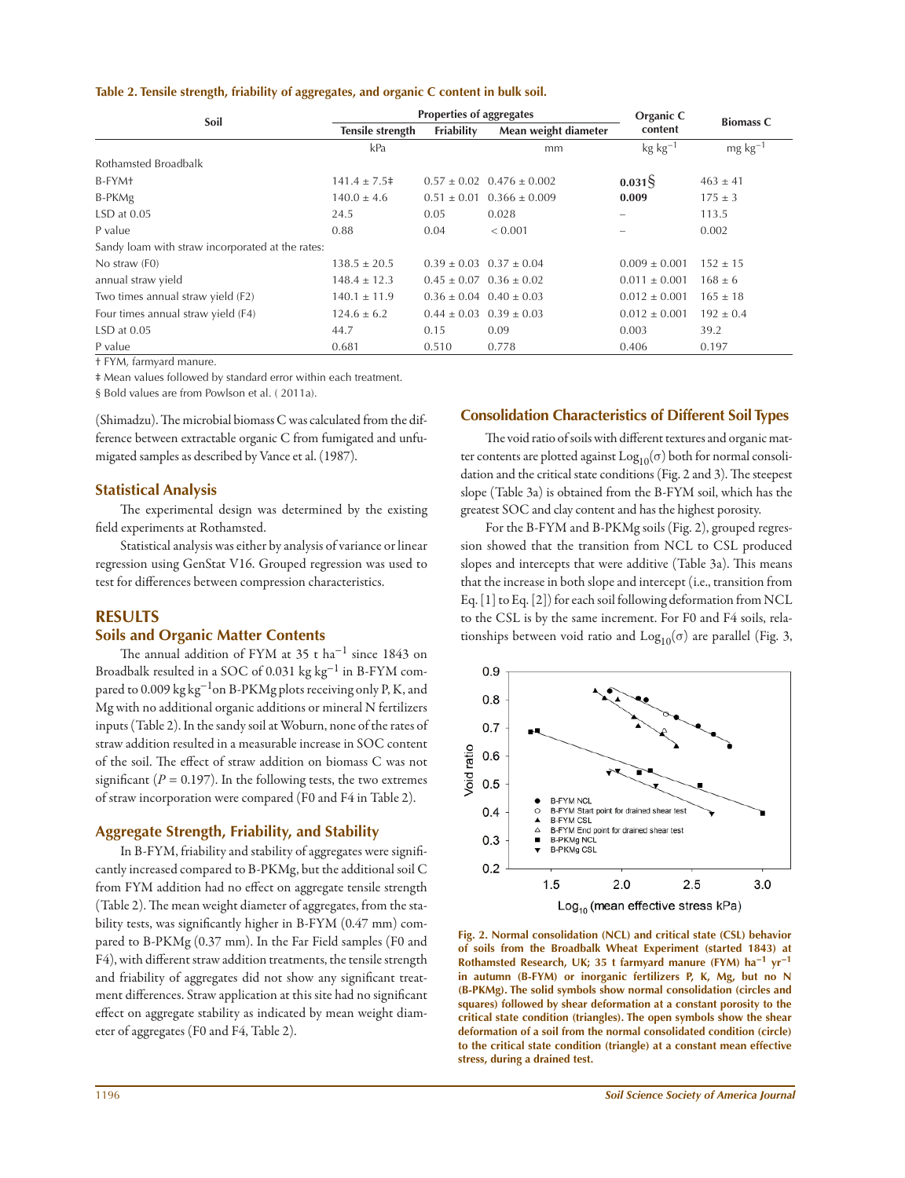#### **Table 2. Tensile strength, friability of aggregates, and organic C content in bulk soil.**

|                                                  | <b>Properties of aggregates</b> |                                 |                                   | Organic C             |                  |
|--------------------------------------------------|---------------------------------|---------------------------------|-----------------------------------|-----------------------|------------------|
| Soil                                             | Tensile strength                | Friability                      | Mean weight diameter              | content               | <b>Biomass C</b> |
|                                                  | kPa                             |                                 | mm                                | $kg$ kg <sup>-1</sup> | $mg \, kg^{-1}$  |
| Rothamsted Broadbalk                             |                                 |                                 |                                   |                       |                  |
| B-FYM+                                           | $141.4 \pm 7.5^{\dagger}$       |                                 | $0.57 \pm 0.02$ $0.476 \pm 0.002$ | $0.031\frac{5}{3}$    | $463 \pm 41$     |
| B-PKMg                                           | $140.0 \pm 4.6$                 |                                 | $0.51 \pm 0.01$ $0.366 \pm 0.009$ | 0.009                 | $175 \pm 3$      |
| $LSD$ at $0.05$                                  | 24.5                            | 0.05                            | 0.028                             |                       | 113.5            |
| P value                                          | 0.88                            | 0.04                            | < 0.001                           |                       | 0.002            |
| Sandy loam with straw incorporated at the rates: |                                 |                                 |                                   |                       |                  |
| No straw (F0)                                    | $138.5 \pm 20.5$                | $0.39 \pm 0.03$ $0.37 \pm 0.04$ |                                   | $0.009 \pm 0.001$     | $152 \pm 15$     |
| annual straw yield                               | $148.4 \pm 12.3$                | $0.45 \pm 0.07$ $0.36 \pm 0.02$ |                                   | $0.011 \pm 0.001$     | $168 \pm 6$      |
| Two times annual straw yield (F2)                | $140.1 \pm 11.9$                | $0.36 \pm 0.04$ $0.40 \pm 0.03$ |                                   | $0.012 \pm 0.001$     | $165 \pm 18$     |
| Four times annual straw yield (F4)               | $124.6 \pm 6.2$                 | $0.44 \pm 0.03$ $0.39 \pm 0.03$ |                                   | $0.012 \pm 0.001$     | $192 \pm 0.4$    |
| $LSD$ at $0.05$                                  | 44.7                            | 0.15                            | 0.09                              | 0.003                 | 39.2             |
| P value                                          | 0.681                           | 0.510                           | 0.778                             | 0.406                 | 0.197            |

† FYM, farmyard manure.

‡ Mean values followed by standard error within each treatment.

§ Bold values are from Powlson et al. ( 2011a).

(Shimadzu). The microbial biomass C was calculated from the difference between extractable organic C from fumigated and unfumigated samples as described by Vance et al. (1987).

## **Statistical Analysis**

The experimental design was determined by the existing field experiments at Rothamsted.

Statistical analysis was either by analysis of variance or linear regression using GenStat V16. Grouped regression was used to test for differences between compression characteristics.

## **RESULTS**

#### **Soils and Organic Matter Contents**

The annual addition of FYM at 35 t ha<sup>-1</sup> since 1843 on Broadbalk resulted in a SOC of 0.031 kg kg−1 in B-FYM compared to 0.009 kg kg<sup>-1</sup>on B-PKMg plots receiving only P, K, and Mg with no additional organic additions or mineral N fertilizers inputs (Table 2). In the sandy soil at Woburn, none of the rates of straw addition resulted in a measurable increase in SOC content of the soil. The effect of straw addition on biomass C was not significant ( $P = 0.197$ ). In the following tests, the two extremes of straw incorporation were compared (F0 and F4 in Table 2).

## **Aggregate Strength, Friability, and Stability**

In B-FYM, friability and stability of aggregates were significantly increased compared to B-PKMg, but the additional soil C from FYM addition had no effect on aggregate tensile strength (Table 2). The mean weight diameter of aggregates, from the stability tests, was significantly higher in B-FYM (0.47 mm) compared to B-PKMg (0.37 mm). In the Far Field samples (F0 and F4), with different straw addition treatments, the tensile strength and friability of aggregates did not show any significant treatment differences. Straw application at this site had no significant effect on aggregate stability as indicated by mean weight diameter of aggregates (F0 and F4, Table 2).

## **Consolidation Characteristics of Different Soil Types**

The void ratio of soils with different textures and organic matter contents are plotted against  $Log_{10}(\sigma)$  both for normal consolidation and the critical state conditions (Fig. 2 and 3). The steepest slope (Table 3a) is obtained from the B-FYM soil, which has the greatest SOC and clay content and has the highest porosity.

For the B-FYM and B-PKMg soils (Fig. 2), grouped regression showed that the transition from NCL to CSL produced slopes and intercepts that were additive (Table 3a). This means that the increase in both slope and intercept (i.e., transition from Eq. [1] to Eq. [2]) for each soil following deformation from NCL to the CSL is by the same increment. For F0 and F4 soils, relationships between void ratio and  $Log_{10}(\sigma)$  are parallel (Fig. 3,



**Fig. 2. Normal consolidation (NCL) and critical state (CSL) behavior of soils from the Broadbalk Wheat Experiment (started 1843) at Rothamsted Research, UK; 35 t farmyard manure (FYM) ha−1 yr−1 in autumn (B-FYM) or inorganic fertilizers P, K, Mg, but no N (B-PKMg). The solid symbols show normal consolidation (circles and squares) followed by shear deformation at a constant porosity to the critical state condition (triangles). The open symbols show the shear deformation of a soil from the normal consolidated condition (circle) to the critical state condition (triangle) at a constant mean effective stress, during a drained test.**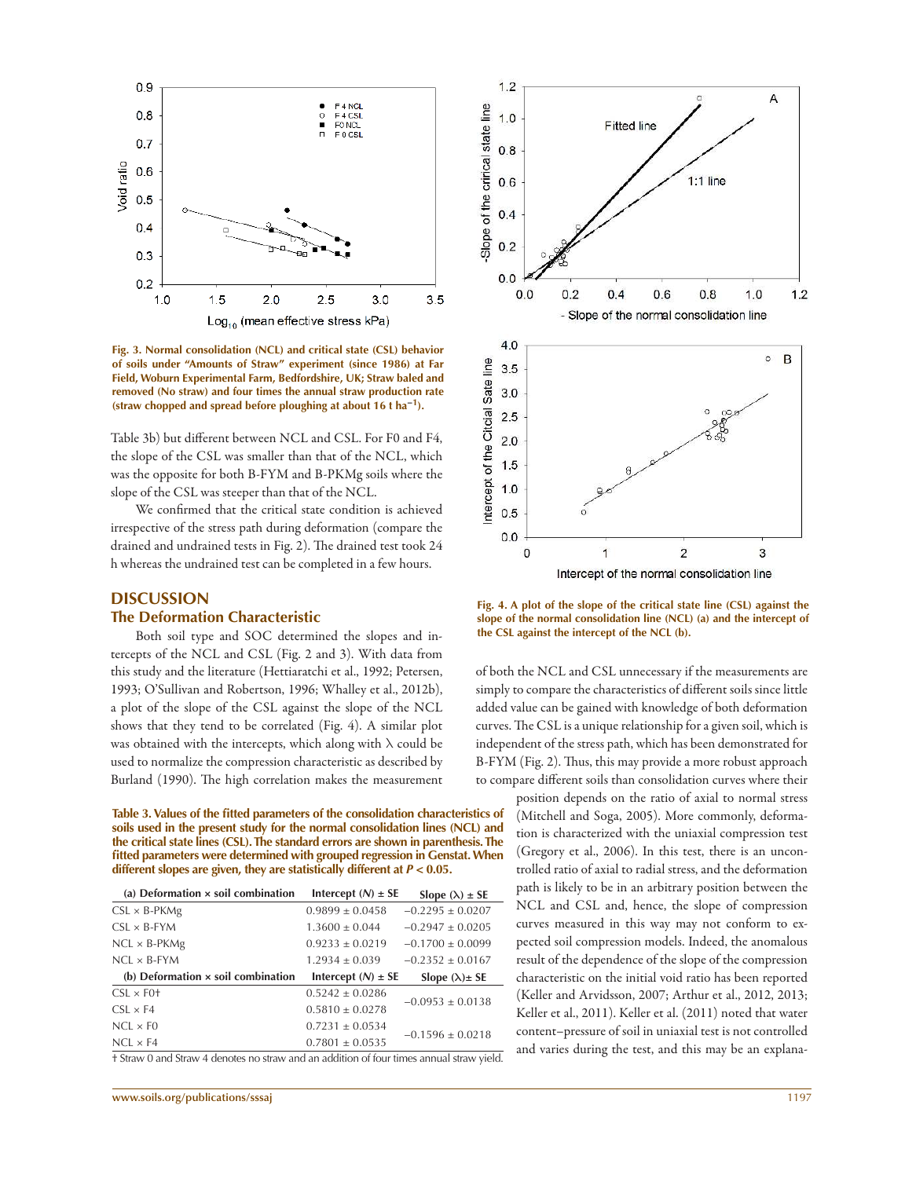

**Fig. 3. Normal consolidation (NCL) and critical state (CSL) behavior of soils under "Amounts of Straw" experiment (since 1986) at Far Field, Woburn Experimental Farm, Bedfordshire, UK; Straw baled and removed (No straw) and four times the annual straw production rate (straw chopped and spread before ploughing at about 16 t ha−1).**

Table 3b) but different between NCL and CSL. For F0 and F4, the slope of the CSL was smaller than that of the NCL, which was the opposite for both B-FYM and B-PKMg soils where the slope of the CSL was steeper than that of the NCL.

We confirmed that the critical state condition is achieved irrespective of the stress path during deformation (compare the drained and undrained tests in Fig. 2). The drained test took 24 h whereas the undrained test can be completed in a few hours.

#### **DISCUSSION**

#### **The Deformation Characteristic**

Both soil type and SOC determined the slopes and intercepts of the NCL and CSL (Fig. 2 and 3). With data from this study and the literature (Hettiaratchi et al., 1992; Petersen, 1993; O'Sullivan and Robertson, 1996; Whalley et al., 2012b), a plot of the slope of the CSL against the slope of the NCL shows that they tend to be correlated (Fig. 4). A similar plot was obtained with the intercepts, which along with  $\lambda$  could be used to normalize the compression characteristic as described by Burland (1990). The high correlation makes the measurement

**Table 3. Values of the fitted parameters of the consolidation characteristics of soils used in the present study for the normal consolidation lines (NCL) and the critical state lines (CSL). The standard errors are shown in parenthesis. The fitted parameters were determined with grouped regression in Genstat. When different slopes are given, they are statistically different at** *P* **< 0.05.**

| (a) Deformation $\times$ soil combination | Intercept $(N) \pm SE$ | Slope $(\lambda) \pm SE$ |
|-------------------------------------------|------------------------|--------------------------|
| $CSL \times B$ -PKMg                      | $0.9899 \pm 0.0458$    | $-0.2295 \pm 0.0207$     |
| $CSL \times B-FYM$                        | $1.3600 + 0.044$       | $-0.2947 + 0.0205$       |
| $NCL \times B$ -PKMg                      | $0.9233 + 0.0219$      | $-0.1700 + 0.0099$       |
| $NCL \times B-FYM$                        | $1.2934 + 0.039$       | $-0.2352 + 0.0167$       |
| (b) Deformation $\times$ soil combination | Intercept $(N) \pm SE$ |                          |
|                                           |                        | Slope $(\lambda) \pm$ SE |
| $CSL \times F0$ <sup>+</sup>              | $0.5242 + 0.0286$      |                          |
| $CSL \times F4$                           | $0.5810 \pm 0.0278$    | $-0.0953 \pm 0.0138$     |
| $NCI \times F0$                           | $0.7231 \pm 0.0534$    | $-0.1596 \pm 0.0218$     |

† Straw 0 and Straw 4 denotes no straw and an addition of four times annual straw yield.



Α

 $1.2$ 

**Fig. 4. A plot of the slope of the critical state line (CSL) against the slope of the normal consolidation line (NCL) (a) and the intercept of the CSL against the intercept of the NCL (b).**

of both the NCL and CSL unnecessary if the measurements are simply to compare the characteristics of different soils since little added value can be gained with knowledge of both deformation curves. The CSL is a unique relationship for a given soil, which is independent of the stress path, which has been demonstrated for B-FYM (Fig. 2). Thus, this may provide a more robust approach to compare different soils than consolidation curves where their

> position depends on the ratio of axial to normal stress (Mitchell and Soga, 2005). More commonly, deformation is characterized with the uniaxial compression test (Gregory et al., 2006). In this test, there is an uncontrolled ratio of axial to radial stress, and the deformation path is likely to be in an arbitrary position between the NCL and CSL and, hence, the slope of compression curves measured in this way may not conform to expected soil compression models. Indeed, the anomalous result of the dependence of the slope of the compression characteristic on the initial void ratio has been reported (Keller and Arvidsson, 2007; Arthur et al., 2012, 2013; Keller et al., 2011). Keller et al. (2011) noted that water content–pressure of soil in uniaxial test is not controlled and varies during the test, and this may be an explana-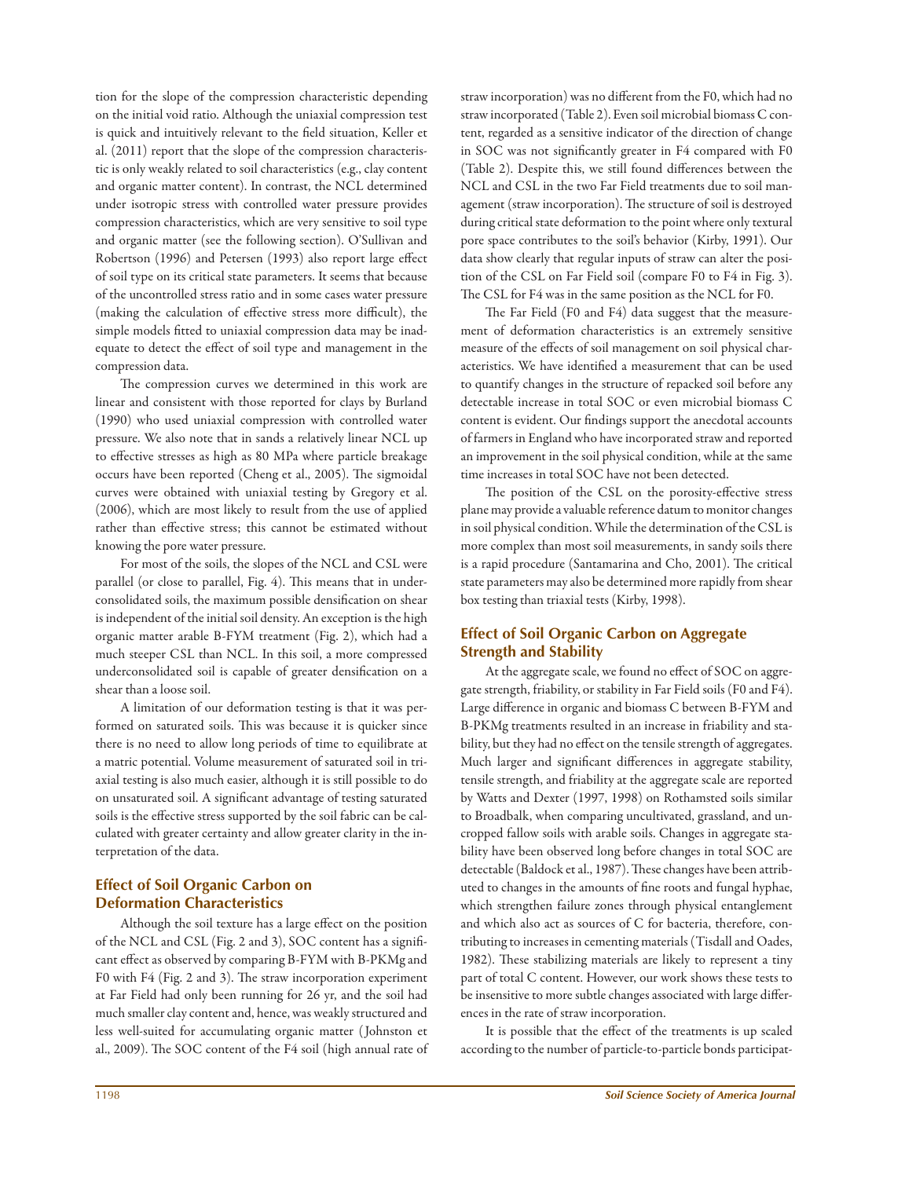tion for the slope of the compression characteristic depending on the initial void ratio. Although the uniaxial compression test is quick and intuitively relevant to the field situation, Keller et al. (2011) report that the slope of the compression characteristic is only weakly related to soil characteristics (e.g., clay content and organic matter content). In contrast, the NCL determined under isotropic stress with controlled water pressure provides compression characteristics, which are very sensitive to soil type and organic matter (see the following section). O'Sullivan and Robertson (1996) and Petersen (1993) also report large effect of soil type on its critical state parameters. It seems that because of the uncontrolled stress ratio and in some cases water pressure (making the calculation of effective stress more difficult), the simple models fitted to uniaxial compression data may be inadequate to detect the effect of soil type and management in the compression data.

The compression curves we determined in this work are linear and consistent with those reported for clays by Burland (1990) who used uniaxial compression with controlled water pressure. We also note that in sands a relatively linear NCL up to effective stresses as high as 80 MPa where particle breakage occurs have been reported (Cheng et al., 2005). The sigmoidal curves were obtained with uniaxial testing by Gregory et al. (2006), which are most likely to result from the use of applied rather than effective stress; this cannot be estimated without knowing the pore water pressure.

For most of the soils, the slopes of the NCL and CSL were parallel (or close to parallel, Fig. 4). This means that in underconsolidated soils, the maximum possible densification on shear is independent of the initial soil density. An exception is the high organic matter arable B-FYM treatment (Fig. 2), which had a much steeper CSL than NCL. In this soil, a more compressed underconsolidated soil is capable of greater densification on a shear than a loose soil.

A limitation of our deformation testing is that it was performed on saturated soils. This was because it is quicker since there is no need to allow long periods of time to equilibrate at a matric potential. Volume measurement of saturated soil in triaxial testing is also much easier, although it is still possible to do on unsaturated soil. A significant advantage of testing saturated soils is the effective stress supported by the soil fabric can be calculated with greater certainty and allow greater clarity in the interpretation of the data.

# **Effect of Soil Organic Carbon on Deformation Characteristics**

Although the soil texture has a large effect on the position of the NCL and CSL (Fig. 2 and 3), SOC content has a significant effect as observed by comparing B-FYM with B-PKMg and F0 with F4 (Fig. 2 and 3). The straw incorporation experiment at Far Field had only been running for 26 yr, and the soil had much smaller clay content and, hence, was weakly structured and less well-suited for accumulating organic matter ( Johnston et al., 2009). The SOC content of the F4 soil (high annual rate of straw incorporation) was no different from the F0, which had no straw incorporated (Table 2). Even soil microbial biomass C content, regarded as a sensitive indicator of the direction of change in SOC was not significantly greater in F4 compared with F0 (Table 2). Despite this, we still found differences between the NCL and CSL in the two Far Field treatments due to soil management (straw incorporation). The structure of soil is destroyed during critical state deformation to the point where only textural pore space contributes to the soil's behavior (Kirby, 1991). Our data show clearly that regular inputs of straw can alter the position of the CSL on Far Field soil (compare F0 to F4 in Fig. 3). The CSL for F4 was in the same position as the NCL for F0.

The Far Field (F0 and F4) data suggest that the measurement of deformation characteristics is an extremely sensitive measure of the effects of soil management on soil physical characteristics. We have identified a measurement that can be used to quantify changes in the structure of repacked soil before any detectable increase in total SOC or even microbial biomass C content is evident. Our findings support the anecdotal accounts of farmers in England who have incorporated straw and reported an improvement in the soil physical condition, while at the same time increases in total SOC have not been detected.

The position of the CSL on the porosity-effective stress plane may provide a valuable reference datum to monitor changes in soil physical condition. While the determination of the CSL is more complex than most soil measurements, in sandy soils there is a rapid procedure (Santamarina and Cho, 2001). The critical state parameters may also be determined more rapidly from shear box testing than triaxial tests (Kirby, 1998).

# **Effect of Soil Organic Carbon on Aggregate Strength and Stability**

At the aggregate scale, we found no effect of SOC on aggregate strength, friability, or stability in Far Field soils (F0 and F4). Large difference in organic and biomass C between B-FYM and B-PKMg treatments resulted in an increase in friability and stability, but they had no effect on the tensile strength of aggregates. Much larger and significant differences in aggregate stability, tensile strength, and friability at the aggregate scale are reported by Watts and Dexter (1997, 1998) on Rothamsted soils similar to Broadbalk, when comparing uncultivated, grassland, and uncropped fallow soils with arable soils. Changes in aggregate stability have been observed long before changes in total SOC are detectable (Baldock et al., 1987). These changes have been attributed to changes in the amounts of fine roots and fungal hyphae, which strengthen failure zones through physical entanglement and which also act as sources of C for bacteria, therefore, contributing to increases in cementing materials (Tisdall and Oades, 1982). These stabilizing materials are likely to represent a tiny part of total C content. However, our work shows these tests to be insensitive to more subtle changes associated with large differences in the rate of straw incorporation.

It is possible that the effect of the treatments is up scaled according to the number of particle-to-particle bonds participat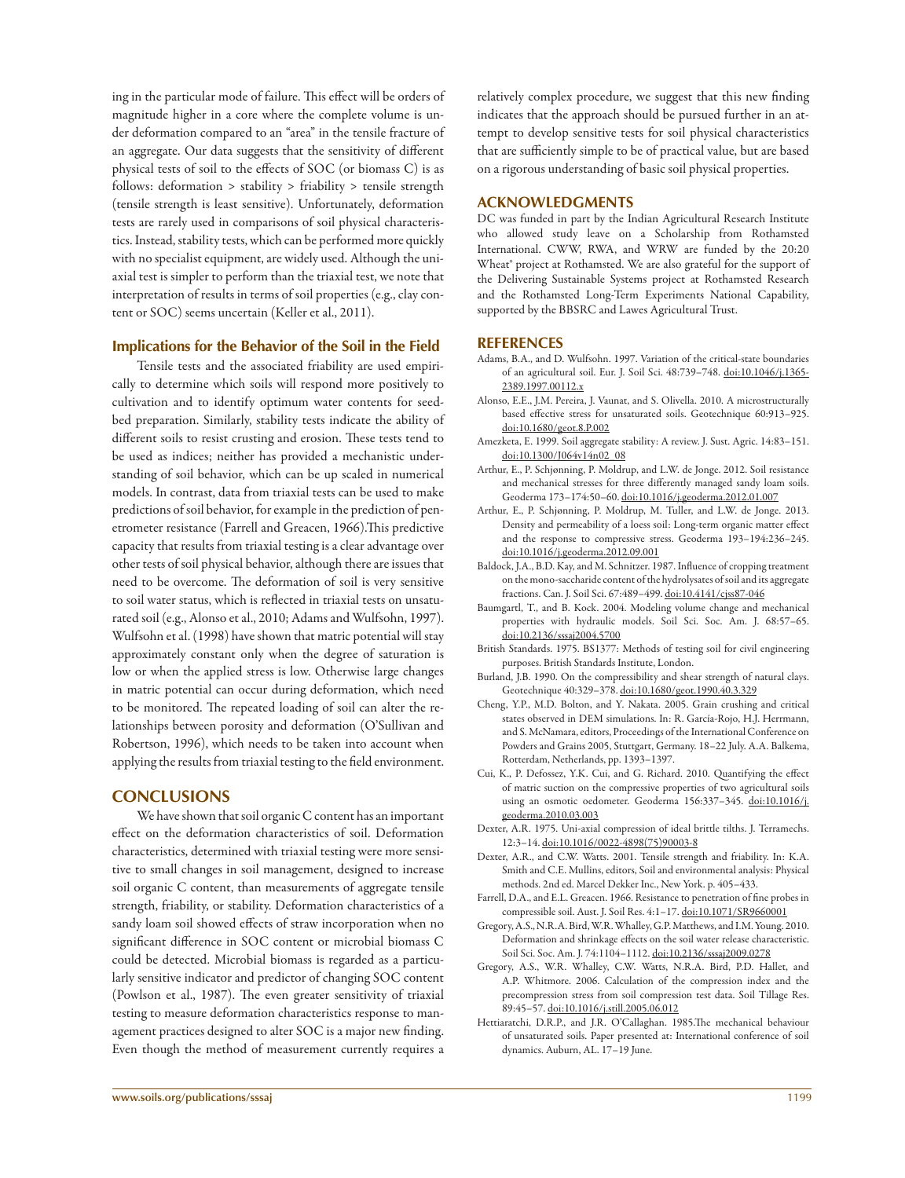ing in the particular mode of failure. This effect will be orders of magnitude higher in a core where the complete volume is under deformation compared to an "area" in the tensile fracture of an aggregate. Our data suggests that the sensitivity of different physical tests of soil to the effects of SOC (or biomass C) is as follows: deformation > stability > friability > tensile strength (tensile strength is least sensitive). Unfortunately, deformation tests are rarely used in comparisons of soil physical characteristics. Instead, stability tests, which can be performed more quickly with no specialist equipment, are widely used. Although the uniaxial test is simpler to perform than the triaxial test, we note that interpretation of results in terms of soil properties (e.g., clay content or SOC) seems uncertain (Keller et al., 2011).

### **Implications for the Behavior of the Soil in the Field**

Tensile tests and the associated friability are used empirically to determine which soils will respond more positively to cultivation and to identify optimum water contents for seedbed preparation. Similarly, stability tests indicate the ability of different soils to resist crusting and erosion. These tests tend to be used as indices; neither has provided a mechanistic understanding of soil behavior, which can be up scaled in numerical models. In contrast, data from triaxial tests can be used to make predictions of soil behavior, for example in the prediction of penetrometer resistance (Farrell and Greacen, 1966).This predictive capacity that results from triaxial testing is a clear advantage over other tests of soil physical behavior, although there are issues that need to be overcome. The deformation of soil is very sensitive to soil water status, which is reflected in triaxial tests on unsaturated soil (e.g., Alonso et al., 2010; Adams and Wulfsohn, 1997). Wulfsohn et al. (1998) have shown that matric potential will stay approximately constant only when the degree of saturation is low or when the applied stress is low. Otherwise large changes in matric potential can occur during deformation, which need to be monitored. The repeated loading of soil can alter the relationships between porosity and deformation (O'Sullivan and Robertson, 1996), which needs to be taken into account when applying the results from triaxial testing to the field environment.

## **CONCLUSIONS**

We have shown that soil organic C content has an important effect on the deformation characteristics of soil. Deformation characteristics, determined with triaxial testing were more sensitive to small changes in soil management, designed to increase soil organic C content, than measurements of aggregate tensile strength, friability, or stability. Deformation characteristics of a sandy loam soil showed effects of straw incorporation when no significant difference in SOC content or microbial biomass C could be detected. Microbial biomass is regarded as a particularly sensitive indicator and predictor of changing SOC content (Powlson et al., 1987). The even greater sensitivity of triaxial testing to measure deformation characteristics response to management practices designed to alter SOC is a major new finding. Even though the method of measurement currently requires a relatively complex procedure, we suggest that this new finding indicates that the approach should be pursued further in an attempt to develop sensitive tests for soil physical characteristics that are sufficiently simple to be of practical value, but are based on a rigorous understanding of basic soil physical properties.

#### **ACKNOWLEDGMENTS**

DC was funded in part by the Indian Agricultural Research Institute who allowed study leave on a Scholarship from Rothamsted International. CWW, RWA, and WRW are funded by the 20:20 Wheat<sup>®</sup> project at Rothamsted. We are also grateful for the support of the Delivering Sustainable Systems project at Rothamsted Research and the Rothamsted Long-Term Experiments National Capability, supported by the BBSRC and Lawes Agricultural Trust.

#### **REFERENCES**

- Adams, B.A., and D. Wulfsohn. 1997. Variation of the critical-state boundaries of an agricultural soil. Eur. J. Soil Sci. 48:739–748. doi:10.1046/j.1365- 2389.1997.00112.x
- Alonso, E.E., J.M. Pereira, J. Vaunat, and S. Olivella. 2010. A microstructurally based effective stress for unsaturated soils. Geotechnique 60:913–925. doi:10.1680/geot.8.P.002
- Amezketa, E. 1999. Soil aggregate stability: A review. J. Sust. Agric. 14:83–151. doi:10.1300/J064v14n02\_08
- Arthur, E., P. Schjønning, P. Moldrup, and L.W. de Jonge. 2012. Soil resistance and mechanical stresses for three differently managed sandy loam soils. Geoderma 173–174:50–60. doi:10.1016/j.geoderma.2012.01.007
- Arthur, E., P. Schjønning, P. Moldrup, M. Tuller, and L.W. de Jonge. 2013. Density and permeability of a loess soil: Long-term organic matter effect and the response to compressive stress. Geoderma 193–194:236–245. doi:10.1016/j.geoderma.2012.09.001
- Baldock, J.A., B.D. Kay, and M. Schnitzer. 1987. Influence of cropping treatment on the mono-saccharide content of the hydrolysates of soil and its aggregate fractions. Can. J. Soil Sci. 67:489–499. doi:10.4141/cjss87-046
- Baumgartl, T., and B. Kock. 2004. Modeling volume change and mechanical properties with hydraulic models. Soil Sci. Soc. Am. J. 68:57–65. doi:10.2136/sssaj2004.5700
- British Standards. 1975. BS1377: Methods of testing soil for civil engineering purposes. British Standards Institute, London.
- Burland, J.B. 1990. On the compressibility and shear strength of natural clays. Geotechnique 40:329–378. doi:10.1680/geot.1990.40.3.329
- Cheng, Y.P., M.D. Bolton, and Y. Nakata. 2005. Grain crushing and critical states observed in DEM simulations. In: R. García-Rojo, H.J. Herrmann, and S. McNamara, editors, Proceedings of the International Conference on Powders and Grains 2005, Stuttgart, Germany. 18–22 July. A.A. Balkema, Rotterdam, Netherlands, pp. 1393–1397.
- Cui, K., P. Defossez, Y.K. Cui, and G. Richard. 2010. Quantifying the effect of matric suction on the compressive properties of two agricultural soils using an osmotic oedometer. Geoderma 156:337–345. doi:10.1016/j. geoderma.2010.03.003
- Dexter, A.R. 1975. Uni-axial compression of ideal brittle tilths. J. Terramechs. 12:3–14. doi:10.1016/0022-4898(75)90003-8
- Dexter, A.R., and C.W. Watts. 2001. Tensile strength and friability. In: K.A. Smith and C.E. Mullins, editors, Soil and environmental analysis: Physical methods. 2nd ed. Marcel Dekker Inc., New York. p. 405–433.
- Farrell, D.A., and E.L. Greacen. 1966. Resistance to penetration of fine probes in compressible soil. Aust. J. Soil Res. 4:1–17. doi:10.1071/SR9660001
- Gregory, A.S., N.R.A. Bird, W.R. Whalley, G.P. Matthews, and I.M. Young. 2010. Deformation and shrinkage effects on the soil water release characteristic. Soil Sci. Soc. Am. J. 74:1104–1112. doi:10.2136/sssaj2009.0278
- Gregory, A.S., W.R. Whalley, C.W. Watts, N.R.A. Bird, P.D. Hallet, and A.P. Whitmore. 2006. Calculation of the compression index and the precompression stress from soil compression test data. Soil Tillage Res. 89:45–57. doi:10.1016/j.still.2005.06.012
- Hettiaratchi, D.R.P., and J.R. O'Callaghan. 1985.The mechanical behaviour of unsaturated soils. Paper presented at: International conference of soil dynamics. Auburn, AL. 17–19 June.